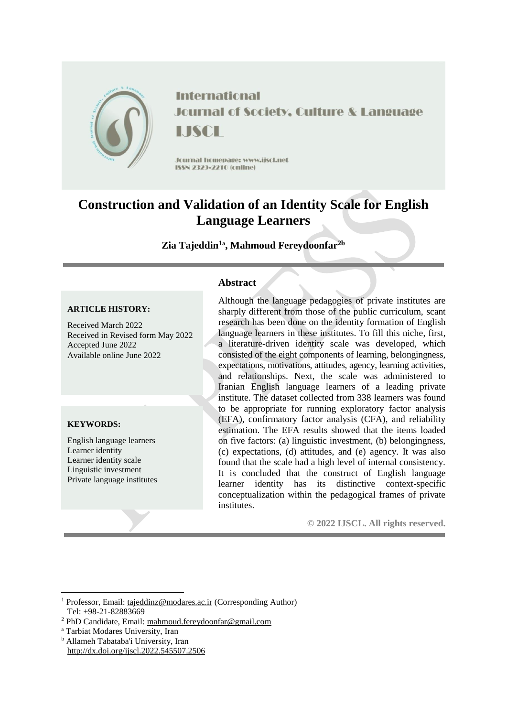

**International Journal of Society, Culture & Language** LISCE

**Journal homepage: www.iiscl.net** ISSN 2329-2210 (cnline)

# **Construction and Validation of an Identity Scale for English Language Learners**

# **Zia Tajeddin<sup>1</sup><sup>a</sup> , Mahmoud Fereydoonfar2b**

## **ARTICLE HISTORY:**

Received March 2022 Received in Revised form May 2022 Accepted June 2022 Available online June 2022

## **KEYWORDS:**

1

English language learners Learner identity Learner identity scale Linguistic investment Private language institutes

## **Abstract**

Although the language pedagogies of private institutes are sharply different from those of the public curriculum, scant research has been done on the identity formation of English language learners in these institutes. To fill this niche, first, a literature-driven identity scale was developed, which consisted of the eight components of learning, belongingness, expectations, motivations, attitudes, agency, learning activities, and relationships. Next, the scale was administered to Iranian English language learners of a leading private institute. The dataset collected from 338 learners was found to be appropriate for running exploratory factor analysis (EFA), confirmatory factor analysis (CFA), and reliability estimation. The EFA results showed that the items loaded on five factors: (a) linguistic investment, (b) belongingness, (c) expectations, (d) attitudes, and (e) agency. It was also found that the scale had a high level of internal consistency. It is concluded that the construct of English language learner identity has its distinctive context-specific conceptualization within the pedagogical frames of private institutes.

**© 2022 IJSCL. All rights reserved.**

<sup>a</sup> Tarbiat Modares University, Iran

<sup>1</sup> Professor, Email: [tajeddinz@modares.ac.ir](mailto:tajeddinz@modares.ac.ir) (Corresponding Author) Tel: +98-21-82883669

<sup>&</sup>lt;sup>2</sup> PhD Candidate, Email[: mahmoud.fereydoonfar@gmail.com](mailto:mahmoud.fereydoonfar@gmail.com)

<sup>b</sup> Allameh Tabataba'i University, Iran http://dx.doi.org/ijscl.2022.545507.2506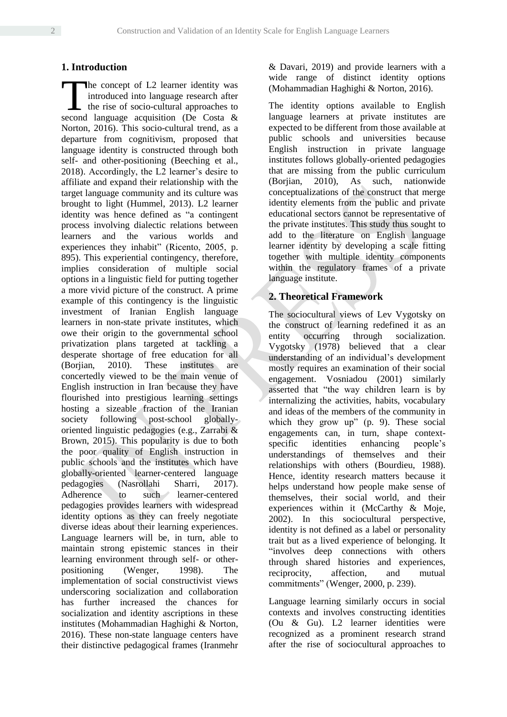## **1. Introduction**

he concept of L2 learner identity was introduced into language research after the rise of socio-cultural approaches to The concept of L2 learner identity was introduced into language research after the rise of socio-cultural approaches to second language acquisition (De Costa & Norton, 2016). This socio-cultural trend, as a departure from cognitivism, proposed that language identity is constructed through both self- and other-positioning (Beeching et al., 2018). Accordingly, the L2 learner's desire to affiliate and expand their relationship with the target language community and its culture was brought to light (Hummel, 2013). L2 learner identity was hence defined as "a contingent process involving dialectic relations between learners and the various worlds and experiences they inhabit" (Ricento, 2005, p. 895). This experiential contingency, therefore, implies consideration of multiple social options in a linguistic field for putting together a more vivid picture of the construct. A prime example of this contingency is the linguistic investment of Iranian English language learners in non-state private institutes, which owe their origin to the governmental school privatization plans targeted at tackling a desperate shortage of free education for all (Borjian, 2010). These institutes are concertedly viewed to be the main venue of English instruction in Iran because they have flourished into prestigious learning settings hosting a sizeable fraction of the Iranian society following post-school globallyoriented linguistic pedagogies (e.g., Zarrabi & Brown, 2015). This popularity is due to both the poor quality of English instruction in public schools and the institutes which have globally-oriented learner-centered language pedagogies (Nasrollahi Sharri, 2017). Adherence to such learner-centered pedagogies provides learners with widespread identity options as they can freely negotiate diverse ideas about their learning experiences. Language learners will be, in turn, able to maintain strong epistemic stances in their learning environment through self- or otherpositioning (Wenger, 1998). The implementation of social constructivist views underscoring socialization and collaboration has further increased the chances for socialization and identity ascriptions in these institutes (Mohammadian Haghighi & Norton, 2016). These non-state language centers have their distinctive pedagogical frames (Iranmehr

& Davari, 2019) and provide learners with a wide range of distinct identity options (Mohammadian Haghighi & Norton, 2016).

The identity options available to English language learners at private institutes are expected to be different from those available at public schools and universities because English instruction in private language institutes follows globally-oriented pedagogies that are missing from the public curriculum (Borjian, 2010), As such, nationwide conceptualizations of the construct that merge identity elements from the public and private educational sectors cannot be representative of the private institutes. This study thus sought to add to the literature on English language learner identity by developing a scale fitting together with multiple identity components within the regulatory frames of a private language institute.

## **2. Theoretical Framework**

The sociocultural views of Lev Vygotsky on the construct of learning redefined it as an entity occurring through socialization. Vygotsky (1978) believed that a clear understanding of an individual's development mostly requires an examination of their social engagement. Vosniadou (2001) similarly asserted that "the way children learn is by internalizing the activities, habits, vocabulary and ideas of the members of the community in which they grow up" (p. 9). These social engagements can, in turn, shape contextspecific identities enhancing people's understandings of themselves and their relationships with others (Bourdieu, 1988). Hence, identity research matters because it helps understand how people make sense of themselves, their social world, and their experiences within it (McCarthy & Moje, 2002). In this sociocultural perspective, identity is not defined as a label or personality trait but as a lived experience of belonging. It "involves deep connections with others through shared histories and experiences, reciprocity, affection, and mutual commitments" (Wenger, 2000, p. 239).

Language learning similarly occurs in social contexts and involves constructing identities (Ou & Gu). L2 learner identities were recognized as a prominent research strand after the rise of sociocultural approaches to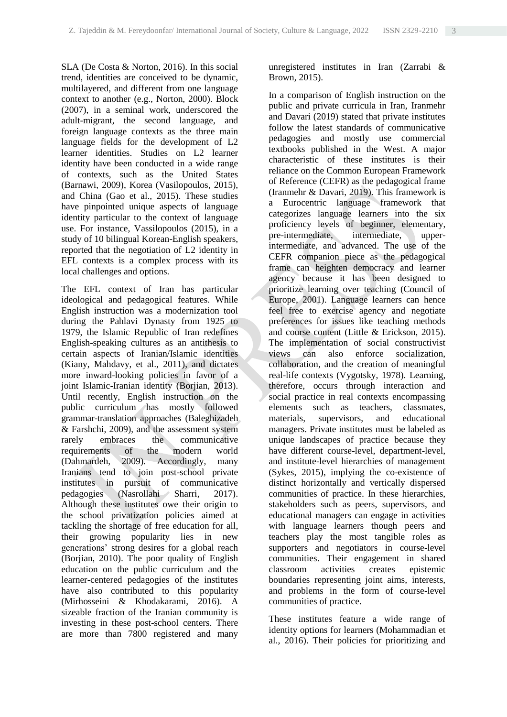SLA (De Costa & Norton, 2016). In this social trend, identities are conceived to be dynamic, multilayered, and different from one language context to another (e.g., Norton, 2000). Block (2007), in a seminal work, underscored the adult-migrant, the second language, and foreign language contexts as the three main language fields for the development of L2 learner identities. Studies on L2 learner identity have been conducted in a wide range of contexts, such as the United States (Barnawi, 2009), Korea (Vasilopoulos, 2015), and China (Gao et al., 2015). These studies have pinpointed unique aspects of language identity particular to the context of language use. For instance, Vassilopoulos (2015), in a study of 10 bilingual Korean-English speakers, reported that the negotiation of L2 identity in EFL contexts is a complex process with its local challenges and options.

The EFL context of Iran has particular ideological and pedagogical features. While English instruction was a modernization tool during the Pahlavi Dynasty from 1925 to 1979, the Islamic Republic of Iran redefines English-speaking cultures as an antithesis to certain aspects of Iranian/Islamic identities (Kiany, Mahdavy, et al., 2011), and dictates more inward-looking policies in favor of a joint Islamic-Iranian identity (Borjian, 2013). Until recently, English instruction on the public curriculum has mostly followed grammar-translation approaches (Baleghizadeh & Farshchi, 2009), and the assessment system rarely embraces the communicative requirements of the modern world (Dahmardeh, 2009). Accordingly, many Iranians tend to join post-school private institutes in pursuit of communicative pedagogies (Nasrollahi Sharri, 2017). Although these institutes owe their origin to the school privatization policies aimed at tackling the shortage of free education for all, their growing popularity lies in new generations' strong desires for a global reach (Borjian, 2010). The poor quality of English education on the public curriculum and the learner-centered pedagogies of the institutes have also contributed to this popularity (Mirhosseini & Khodakarami, 2016). A sizeable fraction of the Iranian community is investing in these post-school centers. There are more than 7800 registered and many

unregistered institutes in Iran (Zarrabi & Brown, 2015).

In a comparison of English instruction on the public and private curricula in Iran, Iranmehr and Davari (2019) stated that private institutes follow the latest standards of communicative pedagogies and mostly use commercial textbooks published in the West. A major characteristic of these institutes is their reliance on the Common European Framework of Reference (CEFR) as the pedagogical frame (Iranmehr & Davari, 2019). This framework is a Eurocentric language framework that categorizes language learners into the six proficiency levels of beginner, elementary, pre-intermediate, intermediate, upperintermediate, and advanced. The use of the CEFR companion piece as the pedagogical frame can heighten democracy and learner agency because it has been designed to prioritize learning over teaching (Council of Europe, 2001). Language learners can hence feel free to exercise agency and negotiate preferences for issues like teaching methods and course content (Little & Erickson, 2015). The implementation of social constructivist views can also enforce socialization, collaboration, and the creation of meaningful real-life contexts (Vygotsky, 1978). Learning, therefore, occurs through interaction and social practice in real contexts encompassing elements such as teachers, classmates, materials, supervisors, and educational managers. Private institutes must be labeled as unique landscapes of practice because they have different course-level, department-level, and institute-level hierarchies of management (Sykes, 2015), implying the co-existence of distinct horizontally and vertically dispersed communities of practice. In these hierarchies, stakeholders such as peers, supervisors, and educational managers can engage in activities with language learners though peers and teachers play the most tangible roles as supporters and negotiators in course-level communities. Their engagement in shared classroom activities creates epistemic boundaries representing joint aims, interests, and problems in the form of course-level communities of practice.

These institutes feature a wide range of identity options for learners (Mohammadian et al., 2016). Their policies for prioritizing and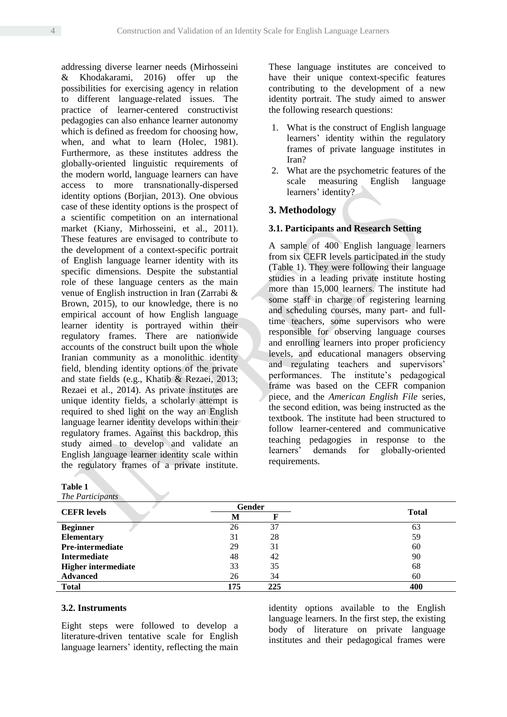addressing diverse learner needs (Mirhosseini & Khodakarami, 2016) offer up the possibilities for exercising agency in relation to different language-related issues. The practice of learner-centered constructivist pedagogies can also enhance learner autonomy which is defined as freedom for choosing how, when, and what to learn (Holec, 1981). Furthermore, as these institutes address the globally-oriented linguistic requirements of the modern world, language learners can have access to more transnationally-dispersed identity options (Borjian, 2013). One obvious case of these identity options is the prospect of a scientific competition on an international market (Kiany, Mirhosseini, et al., 2011). These features are envisaged to contribute to the development of a context-specific portrait of English language learner identity with its specific dimensions. Despite the substantial role of these language centers as the main venue of English instruction in Iran (Zarrabi & Brown, 2015), to our knowledge, there is no empirical account of how English language learner identity is portrayed within their regulatory frames. There are nationwide accounts of the construct built upon the whole Iranian community as a monolithic identity field, blending identity options of the private and state fields (e.g., Khatib & Rezaei, 2013; Rezaei et al., 2014). As private institutes are unique identity fields, a scholarly attempt is required to shed light on the way an English language learner identity develops within their regulatory frames. Against this backdrop, this study aimed to develop and validate an English language learner identity scale within the regulatory frames of a private institute.

| Table 1                    |        |     |              |
|----------------------------|--------|-----|--------------|
| The Participants           |        |     |              |
|                            | Gender |     |              |
| <b>CEFR</b> levels         | М      |     | <b>Total</b> |
| <b>Beginner</b>            | 26     | 37  | 63           |
| <b>Elementary</b>          | 31     | 28  | 59           |
| <b>Pre-intermediate</b>    | 29     | 31  | 60           |
| <b>Intermediate</b>        | 48     | 42  | 90           |
| <b>Higher intermediate</b> | 33     | 35  | 68           |
| <b>Advanced</b>            | 26     | 34  | 60           |
| <b>Total</b>               | 175    | 225 | 400          |

# **3.2. Instruments**

Eight steps were followed to develop a literature-driven tentative scale for English language learners' identity, reflecting the main identity options available to the English language learners. In the first step, the existing body of literature on private language institutes and their pedagogical frames were

These language institutes are conceived to have their unique context-specific features contributing to the development of a new identity portrait. The study aimed to answer the following research questions:

- 1. What is the construct of English language learners' identity within the regulatory frames of private language institutes in Iran?
- 2. What are the psychometric features of the scale measuring English language learners' identity?

## **3. Methodology**

## **3.1. Participants and Research Setting**

A sample of 400 English language learners from six CEFR levels participated in the study (Table 1). They were following their language studies in a leading private institute hosting more than 15,000 learners. The institute had some staff in charge of registering learning and scheduling courses, many part- and fulltime teachers, some supervisors who were responsible for observing language courses and enrolling learners into proper proficiency levels, and educational managers observing and regulating teachers and supervisors' performances. The institute's pedagogical frame was based on the CEFR companion piece, and the *American English File* series, the second edition, was being instructed as the textbook. The institute had been structured to follow learner-centered and communicative teaching pedagogies in response to the learners' demands for globally-oriented requirements.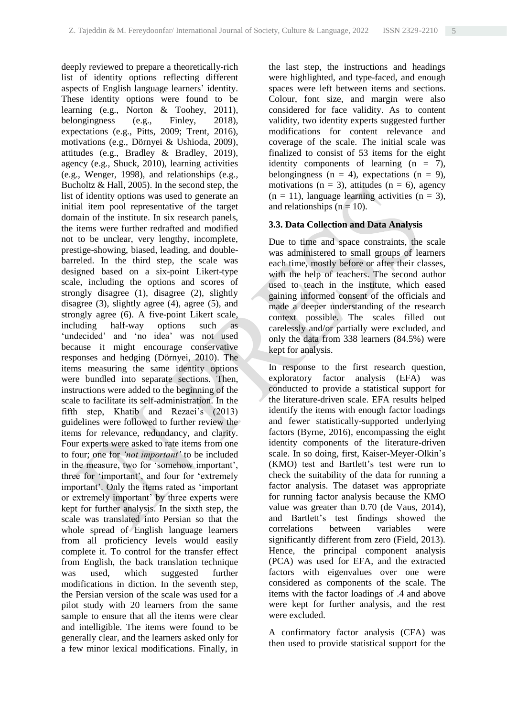deeply reviewed to prepare a theoretically-rich list of identity options reflecting different aspects of English language learners' identity. These identity options were found to be learning (e.g., Norton & Toohey, 2011), belongingness (e.g., Finley, 2018), expectations (e.g., Pitts, 2009; Trent, 2016), motivations (e.g., Dörnyei & Ushioda, 2009), attitudes (e.g., Bradley & Bradley, 2019), agency (e.g., Shuck, 2010), learning activities (e.g., Wenger, 1998), and relationships (e.g., Bucholtz & Hall, 2005). In the second step, the list of identity options was used to generate an initial item pool representative of the target domain of the institute. In six research panels, the items were further redrafted and modified not to be unclear, very lengthy, incomplete, prestige-showing, biased, leading, and doublebarreled. In the third step, the scale was designed based on a six-point Likert-type scale, including the options and scores of strongly disagree (1), disagree (2), slightly disagree (3), slightly agree (4), agree (5), and strongly agree (6). A five-point Likert scale, including half-way options such as 'undecided' and 'no idea' was not used because it might encourage conservative responses and hedging (Dörnyei, 2010). The items measuring the same identity options were bundled into separate sections. Then, instructions were added to the beginning of the scale to facilitate its self-administration. In the fifth step, Khatib and Rezaei's (2013) guidelines were followed to further review the items for relevance, redundancy, and clarity. Four experts were asked to rate items from one to four; one for *'not important'* to be included in the measure, two for 'somehow important', three for 'important', and four for 'extremely important'. Only the items rated as 'important or extremely important' by three experts were kept for further analysis. In the sixth step, the scale was translated into Persian so that the whole spread of English language learners from all proficiency levels would easily complete it. To control for the transfer effect from English, the back translation technique was used, which suggested further modifications in diction. In the seventh step, the Persian version of the scale was used for a pilot study with 20 learners from the same sample to ensure that all the items were clear and intelligible. The items were found to be generally clear, and the learners asked only for a few minor lexical modifications. Finally, in

the last step, the instructions and headings were highlighted, and type-faced, and enough spaces were left between items and sections. Colour, font size, and margin were also considered for face validity. As to content validity, two identity experts suggested further modifications for content relevance and coverage of the scale. The initial scale was finalized to consist of 53 items for the eight identity components of learning  $(n = 7)$ , belongingness ( $n = 4$ ), expectations ( $n = 9$ ), motivations ( $n = 3$ ), attitudes ( $n = 6$ ), agency  $(n = 11)$ , language learning activities  $(n = 3)$ , and relationships ( $n = 10$ ).

### **3.3. Data Collection and Data Analysis**

Due to time and space constraints, the scale was administered to small groups of learners each time, mostly before or after their classes, with the help of teachers. The second author used to teach in the institute, which eased gaining informed consent of the officials and made a deeper understanding of the research context possible. The scales filled out carelessly and/or partially were excluded, and only the data from 338 learners (84.5%) were kept for analysis.

In response to the first research question, exploratory factor analysis (EFA) was conducted to provide a statistical support for the literature-driven scale. EFA results helped identify the items with enough factor loadings and fewer statistically-supported underlying factors (Byrne, 2016), encompassing the eight identity components of the literature-driven scale. In so doing, first, Kaiser-Meyer-Olkin's (KMO) test and Bartlett's test were run to check the suitability of the data for running a factor analysis. The dataset was appropriate for running factor analysis because the KMO value was greater than 0.70 (de Vaus, 2014), and Bartlett's test findings showed the correlations between variables were significantly different from zero (Field, 2013). Hence, the principal component analysis (PCA) was used for EFA, and the extracted factors with eigenvalues over one were considered as components of the scale. The items with the factor loadings of .4 and above were kept for further analysis, and the rest were excluded.

A confirmatory factor analysis (CFA) was then used to provide statistical support for the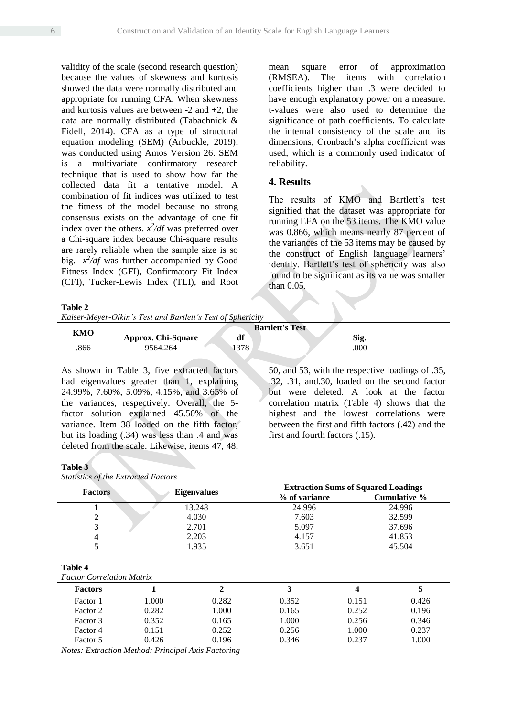validity of the scale (second research question) because the values of skewness and kurtosis showed the data were normally distributed and appropriate for running CFA. When skewness and kurtosis values are between  $-2$  and  $+2$ , the data are normally distributed (Tabachnick & Fidell, 2014). CFA as a type of structural equation modeling (SEM) (Arbuckle, 2019), was conducted using Amos Version 26. SEM is a multivariate confirmatory research technique that is used to show how far the collected data fit a tentative model. A combination of fit indices was utilized to test the fitness of the model because no strong consensus exists on the advantage of one fit index over the others.  $x^2/df$  was preferred over a Chi-square index because Chi-square results are rarely reliable when the sample size is so big.  $x^2/df$  was further accompanied by Good Fitness Index (GFI), Confirmatory Fit Index (CFI), Tucker-Lewis Index (TLI), and Root

**Table 2**

*Kaiser-Meyer-Olkin's Test and Bartlett's Test of Sphericity*

mean square error of approximation (RMSEA). The items with correlation coefficients higher than .3 were decided to have enough explanatory power on a measure. t-values were also used to determine the significance of path coefficients. To calculate the internal consistency of the scale and its dimensions, Cronbach's alpha coefficient was used, which is a commonly used indicator of reliability.

## **4. Results**

The results of KMO and Bartlett's test signified that the dataset was appropriate for running EFA on the 53 items. The KMO value was 0.866, which means nearly 87 percent of the variances of the 53 items may be caused by the construct of English language learners' identity. Bartlett's test of sphericity was also found to be significant as its value was smaller than 0.05.

| KMO |                           |      | <b>Bartlett's Test</b> |
|-----|---------------------------|------|------------------------|
|     | <b>Approx. Chi-Square</b> | df   | Sig.                   |
| 866 | 9564.264                  | 1378 | .000                   |

As shown in Table 3, five extracted factors had eigenvalues greater than 1, explaining 24.99%, 7.60%, 5.09%, 4.15%, and 3.65% of the variances, respectively. Overall, the 5 factor solution explained 45.50% of the variance. Item 38 loaded on the fifth factor, but its loading (.34) was less than .4 and was deleted from the scale. Likewise, items 47, 48,

50, and 53, with the respective loadings of .35, .32, .31, and.30, loaded on the second factor but were deleted. A look at the factor correlation matrix (Table 4) shows that the highest and the lowest correlations were between the first and fifth factors (.42) and the first and fourth factors (.15).

#### **Table 3**

*Statistics of the Extracted Factors*

| <b>Factors</b> |                    |               | <b>Extraction Sums of Squared Loadings</b> |  |  |
|----------------|--------------------|---------------|--------------------------------------------|--|--|
|                | <b>Eigenvalues</b> | % of variance | Cumulative %                               |  |  |
|                | 13.248             | 24.996        | 24.996                                     |  |  |
|                | 4.030              | 7.603         | 32.599                                     |  |  |
|                | 2.701              | 5.097         | 37.696                                     |  |  |
|                | 2.203              | 4.157         | 41.853                                     |  |  |
|                | 1.935              | 3.651         | 45.504                                     |  |  |

| Table 4                          |  |
|----------------------------------|--|
| <b>Factor Correlation Matrix</b> |  |

| <b>Factors</b> |       |       |       |       |       |
|----------------|-------|-------|-------|-------|-------|
| Factor 1       | 000.  | 0.282 | 0.352 | 0.151 | 0.426 |
| Factor 2       | 0.282 | 000.1 | 0.165 | 0.252 | 0.196 |
| Factor 3       | 0.352 | 0.165 | 1.000 | 0.256 | 0.346 |
| Factor 4       | 0.151 | 0.252 | 0.256 | 1.000 | 0.237 |
| Factor 5       | 0.426 | 0.196 | 0.346 | 0.237 | .000  |

*Notes: Extraction Method: Principal Axis Factoring*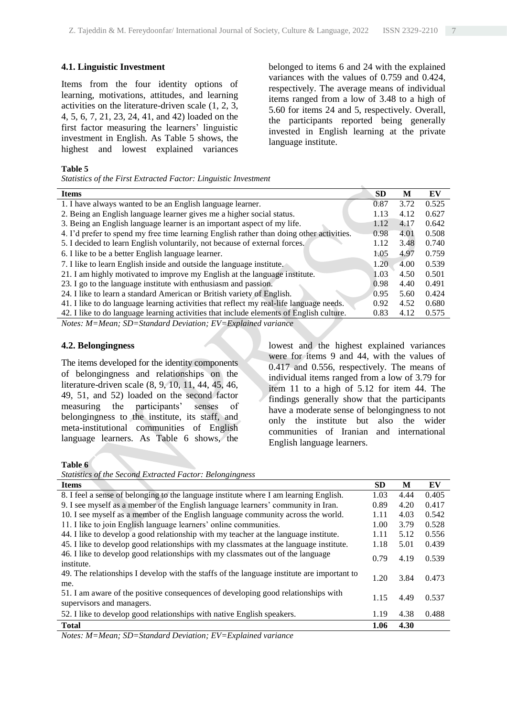### **4.1. Linguistic Investment**

Items from the four identity options of learning, motivations, attitudes, and learning activities on the literature-driven scale (1, 2, 3, 4, 5, 6, 7, 21, 23, 24, 41, and 42) loaded on the first factor measuring the learners' linguistic investment in English. As Table 5 shows, the highest and lowest explained variances

belonged to items 6 and 24 with the explained variances with the values of 0.759 and 0.424, respectively. The average means of individual items ranged from a low of 3.48 to a high of 5.60 for items 24 and 5, respectively. Overall, the participants reported being generally invested in English learning at the private language institute.

#### **Table 5**

*Statistics of the First Extracted Factor: Linguistic Investment* 

| <b>Items</b>                                                                             | <b>SD</b> | M    | EV    |
|------------------------------------------------------------------------------------------|-----------|------|-------|
| 1. I have always wanted to be an English language learner.                               | 0.87      | 3.72 | 0.525 |
| 2. Being an English language learner gives me a higher social status.                    | 1.13      | 4.12 | 0.627 |
| 3. Being an English language learner is an important aspect of my life.                  | 1.12      | 4.17 | 0.642 |
| 4. I'd prefer to spend my free time learning English rather than doing other activities. | 0.98      | 4.01 | 0.508 |
| 5. I decided to learn English voluntarily, not because of external forces.               | 1.12      | 3.48 | 0.740 |
| 6. I like to be a better English language learner.                                       | 1.05      | 4.97 | 0.759 |
| 7. I like to learn English inside and outside the language institute.                    | 1.20      | 4.00 | 0.539 |
| 21. I am highly motivated to improve my English at the language institute.               | 1.03      | 4.50 | 0.501 |
| 23. I go to the language institute with enthusiasm and passion.                          | 0.98      | 4.40 | 0.491 |
| 24. I like to learn a standard American or British variety of English.                   | 0.95      | 5.60 | 0.424 |
| 41. I like to do language learning activities that reflect my real-life language needs.  | 0.92      | 4.52 | 0.680 |
| 42. I like to do language learning activities that include elements of English culture.  | 0.83      | 4.12 | 0.575 |
| Notes: M=Mean; SD=Standard Deviation; EV=Explained variance                              |           |      |       |

## **4.2. Belongingness**

The items developed for the identity components of belongingness and relationships on the literature-driven scale (8, 9, 10, 11, 44, 45, 46, 49, 51, and 52) loaded on the second factor measuring the participants' senses of belongingness to the institute, its staff, and meta-institutional communities of English language learners. As Table 6 shows, the

lowest and the highest explained variances were for items 9 and 44, with the values of 0.417 and 0.556, respectively. The means of individual items ranged from a low of 3.79 for item 11 to a high of 5.12 for item 44. The findings generally show that the participants have a moderate sense of belongingness to not only the institute but also the wider communities of Iranian and international English language learners.

**Table 6**

*Statistics of the Second Extracted Factor: Belongingness*

| <b>Items</b>                                                                                                   | <b>SD</b> | M    | EV    |
|----------------------------------------------------------------------------------------------------------------|-----------|------|-------|
| 8. I feel a sense of belonging to the language institute where I am learning English.                          | 1.03      | 4.44 | 0.405 |
| 9. I see myself as a member of the English language learners' community in Iran.                               | 0.89      | 4.20 | 0.417 |
| 10. I see myself as a member of the English language community across the world.                               | 1.11      | 4.03 | 0.542 |
| 11. I like to join English language learners' online communities.                                              | 1.00      | 3.79 | 0.528 |
| 44. I like to develop a good relationship with my teacher at the language institute.                           | 1.11      | 5.12 | 0.556 |
| 45. I like to develop good relationships with my classmates at the language institute.                         | 1.18      | 5.01 | 0.439 |
| 46. I like to develop good relationships with my classmates out of the language<br>institute.                  | 0.79      | 4.19 | 0.539 |
| 49. The relationships I develop with the staffs of the language institute are important to<br>me.              | 1.20      | 3.84 | 0.473 |
| 51. I am aware of the positive consequences of developing good relationships with<br>supervisors and managers. | 1.15      | 4.49 | 0.537 |
| 52. I like to develop good relationships with native English speakers.                                         | 1.19      | 4.38 | 0.488 |
| <b>Total</b>                                                                                                   | 1.06      | 4.30 |       |

*Notes: M=Mean; SD=Standard Deviation; EV=Explained variance*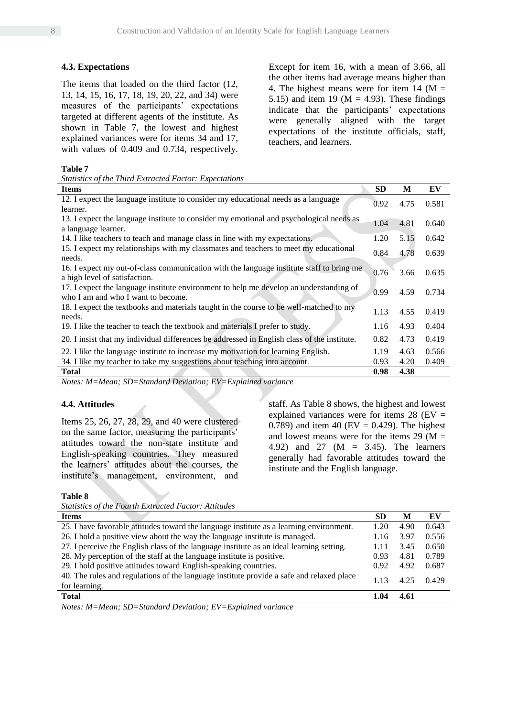### **4.3. Expectations**

The items that loaded on the third factor (12, 13, 14, 15, 16, 17, 18, 19, 20, 22, and 34) were measures of the participants' expectations targeted at different agents of the institute. As shown in Table 7, the lowest and highest explained variances were for items 34 and 17, with values of 0.409 and 0.734, respectively.

*Statistics of the Third Extracted Factor: Expectations* 

Except for item 16, with a mean of 3.66, all the other items had average means higher than 4. The highest means were for item 14 ( $M =$ 5.15) and item 19 ( $M = 4.93$ ). These findings indicate that the participants' expectations were generally aligned with the target expectations of the institute officials, staff, teachers, and learners.

#### **Table 7**

| <b>Items</b>                                                                                | <b>SD</b> | M    | EV    |
|---------------------------------------------------------------------------------------------|-----------|------|-------|
| 12. I expect the language institute to consider my educational needs as a language          | 0.92      | 4.75 | 0.581 |
| learner.                                                                                    |           |      |       |
| 13. I expect the language institute to consider my emotional and psychological needs as     | 1.04      | 4.81 | 0.640 |
| a language learner.                                                                         |           |      |       |
| 14. I like teachers to teach and manage class in line with my expectations.                 | 1.20      | 5.15 | 0.642 |
| 15. I expect my relationships with my class mate and teachers to meet my educational        | 0.84      | 4.78 | 0.639 |
| needs.                                                                                      |           |      |       |
| 16. I expect my out-of-class communication with the language institute staff to bring me    | 0.76      | 3.66 | 0.635 |
| a high level of satisfaction.                                                               |           |      |       |
| 17. I expect the language institute environment to help me develop an understanding of      | 0.99      | 4.59 | 0.734 |
| who I am and who I want to become.                                                          |           |      |       |
| 18. I expect the textbooks and materials taught in the course to be well-matched to my      | 1.13      | 4.55 | 0.419 |
| needs.                                                                                      |           |      |       |
| 19. I like the teacher to teach the textbook and materials I prefer to study.               | 1.16      | 4.93 | 0.404 |
| 20. I insist that my individual differences be addressed in English class of the institute. | 0.82      | 4.73 | 0.419 |
| 22. I like the language institute to increase my motivation for learning English.           | 1.19      | 4.63 | 0.566 |
| 34. I like my teacher to take my suggestions about teaching into account.                   | 0.93      | 4.20 | 0.409 |
| <b>Total</b>                                                                                | 0.98      | 4.38 |       |

*Notes: M=Mean; SD=Standard Deviation; EV=Explained variance*

## **4.4. Attitudes**

Items 25, 26, 27, 28, 29, and 40 were clustered on the same factor, measuring the participants' attitudes toward the non-state institute and English-speaking countries. They measured the learners' attitudes about the courses, the institute's management, environment, and

staff. As Table 8 shows, the highest and lowest explained variances were for items  $28$  (EV = 0.789) and item 40 (EV = 0.429). The highest and lowest means were for the items 29 ( $M =$ 4.92) and 27 ( $M = 3.45$ ). The learners generally had favorable attitudes toward the institute and the English language.

**Table 8**

| <b>Statistics of the Fourth Extracted Factor: Attitudes</b>                                               |           |      |       |
|-----------------------------------------------------------------------------------------------------------|-----------|------|-------|
| <b>Items</b>                                                                                              | <b>SD</b> | M    | EV    |
| 25. I have favorable attitudes toward the language institute as a learning environment.                   | 1.20      | 4.90 | 0.643 |
| 26. I hold a positive view about the way the language institute is managed.                               | 1.16      | 3.97 | 0.556 |
| 27. I perceive the English class of the language institute as an ideal learning setting.                  | 1.11      | 3.45 | 0.650 |
| 28. My perception of the staff at the language institute is positive.                                     | 0.93      | 4.81 | 0.789 |
| 29. I hold positive attitudes toward English-speaking countries.                                          | 0.92      | 4.92 | 0.687 |
| 40. The rules and regulations of the language institute provide a safe and relaxed place<br>for learning. | L 13      | 4.25 | 0.429 |
| <b>Total</b>                                                                                              | 1.04      | 4.61 |       |

*Notes: M=Mean; SD=Standard Deviation; EV=Explained variance*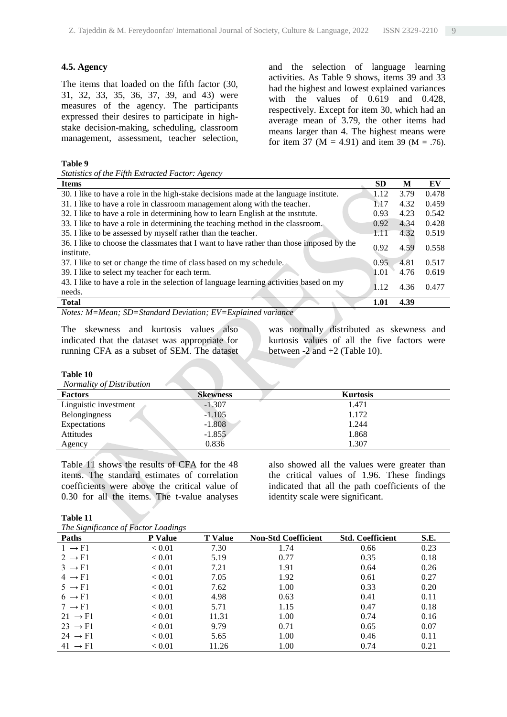## **4.5. Agency**

The items that loaded on the fifth factor (30, 31, 32, 33, 35, 36, 37, 39, and 43) were measures of the agency. The participants expressed their desires to participate in highstake decision-making, scheduling, classroom management, assessment, teacher selection,

and the selection of language learning activities. As Table 9 shows, items 39 and 33 had the highest and lowest explained variances with the values of 0.619 and 0.428, respectively. Except for item 30, which had an average mean of 3.79, the other items had means larger than 4. The highest means were for item 37 ( $M = 4.91$ ) and item 39 ( $M = .76$ ).

#### **Table 9**

|  | Statistics of the Fifth Extracted Factor: Agency |  |
|--|--------------------------------------------------|--|
|  |                                                  |  |

| <b>Items</b>                                                                                                     | <b>SD</b> | M    | EV    |
|------------------------------------------------------------------------------------------------------------------|-----------|------|-------|
| 30. I like to have a role in the high-stake decisions made at the language institute.                            | 1.12      | 3.79 | 0.478 |
| 31. I like to have a role in classroom management along with the teacher.                                        | 1.17      | 4.32 | 0.459 |
| 32. I like to have a role in determining how to learn English at the institute.                                  | 0.93      | 4.23 | 0.542 |
| 33. I like to have a role in determining the teaching method in the classroom.                                   | 0.92      | 4.34 | 0.428 |
| 35. I like to be assessed by myself rather than the teacher.                                                     | 1.11      | 4.32 | 0.519 |
| 36. I like to choose the classmates that I want to have rather than those imposed by the<br>institute.           | 0.92      | 4.59 | 0.558 |
| 37. I like to set or change the time of class based on my schedule.                                              | 0.95      | 4.81 | 0.517 |
| 39. I like to select my teacher for each term.                                                                   | 1.01      | 4.76 | 0.619 |
| 43. I like to have a role in the selection of language learning activities based on my<br>needs.                 | 1.12      | 4.36 | 0.477 |
| <b>Total</b>                                                                                                     | 1.01      | 4.39 |       |
| $\mathbf{1}$ $\mathbf{1}$ $\mathbf{R}$<br>$\alpha$ $\beta$ $\alpha$ .<br>$\blacksquare$<br>$\mathbf{v}$<br>,,,,, |           |      |       |

*Notes: M=Mean; SD=Standard Deviation; EV=Explained variance*

The skewness and kurtosis values also indicated that the dataset was appropriate for running CFA as a subset of SEM. The dataset

was normally distributed as skewness and kurtosis values of all the five factors were between  $-2$  and  $+2$  (Table 10).

### **Table 10**

*Normality of Distribution* 

| <b>Factors</b>        | <b>Skewness</b> | <b>Kurtosis</b> |
|-----------------------|-----------------|-----------------|
| Linguistic investment | $-1.307$        | 1.471           |
| Belongingness         | $-1.105$        | 1.172           |
| Expectations          | $-1.808$        | 1.244           |
| Attitudes             | $-1.855$        | 1.868           |
| Agency                | 0.836           | 1.307           |

Table 11 shows the results of CFA for the 48 items. The standard estimates of correlation coefficients were above the critical value of 0.30 for all the items. The t-value analyses

also showed all the values were greater than the critical values of 1.96. These findings indicated that all the path coefficients of the identity scale were significant.

#### **Table 11**

*The Significance of Factor Loadings* 

| The Significance of Factor Loadings |                |                |                            |                         |      |  |
|-------------------------------------|----------------|----------------|----------------------------|-------------------------|------|--|
| <b>Paths</b>                        | <b>P</b> Value | <b>T</b> Value | <b>Non-Std Coefficient</b> | <b>Std. Coefficient</b> | S.E. |  |
| $1 \rightarrow F1$                  | < 0.01         | 7.30           | 1.74                       | 0.66                    | 0.23 |  |
| $2 \rightarrow F1$                  | < 0.01         | 5.19           | 0.77                       | 0.35                    | 0.18 |  |
| $3 \rightarrow F1$                  | < 0.01         | 7.21           | 1.91                       | 0.64                    | 0.26 |  |
| $4 \rightarrow F1$                  | < 0.01         | 7.05           | 1.92                       | 0.61                    | 0.27 |  |
| $5 \rightarrow F1$                  | < 0.01         | 7.62           | 1.00                       | 0.33                    | 0.20 |  |
| $6 \rightarrow F1$                  | < 0.01         | 4.98           | 0.63                       | 0.41                    | 0.11 |  |
| $7 \rightarrow F1$                  | < 0.01         | 5.71           | 1.15                       | 0.47                    | 0.18 |  |
| $21 \rightarrow F1$                 | < 0.01         | 11.31          | 1.00                       | 0.74                    | 0.16 |  |
| $23 \rightarrow F1$                 | < 0.01         | 9.79           | 0.71                       | 0.65                    | 0.07 |  |
| $24 \rightarrow F1$                 | < 0.01         | 5.65           | 1.00                       | 0.46                    | 0.11 |  |
| $41 \rightarrow F1$                 | ${}_{< 0.01}$  | 11.26          | 1.00                       | 0.74                    | 0.21 |  |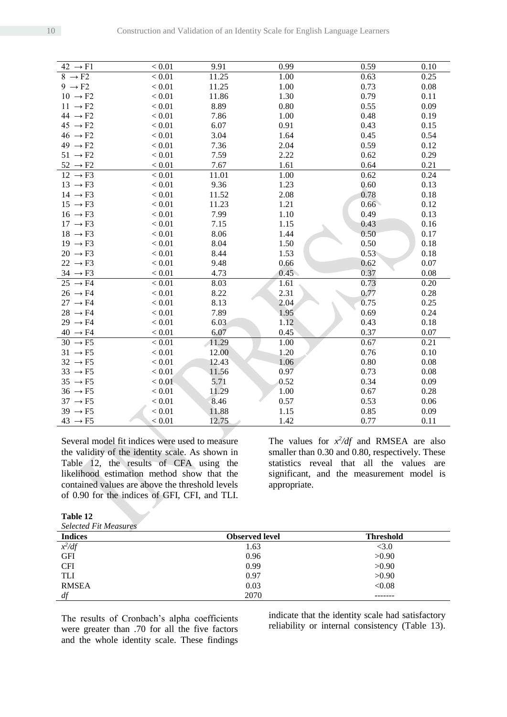| $42 \rightarrow F1$ | < 0.01   | 9.91  | 0.99 | 0.59 | 0.10 |
|---------------------|----------|-------|------|------|------|
| $8 \rightarrow F2$  | < 0.01   | 11.25 | 1.00 | 0.63 | 0.25 |
| $9 \rightarrow F2$  | < 0.01   | 11.25 | 1.00 | 0.73 | 0.08 |
| $10 \rightarrow F2$ | < 0.01   | 11.86 | 1.30 | 0.79 | 0.11 |
| $11 \rightarrow F2$ | < 0.01   | 8.89  | 0.80 | 0.55 | 0.09 |
| $44 \rightarrow F2$ | < 0.01   | 7.86  | 1.00 | 0.48 | 0.19 |
| $45 \rightarrow F2$ | < 0.01   | 6.07  | 0.91 | 0.43 | 0.15 |
| $46 \rightarrow F2$ | < 0.01   | 3.04  | 1.64 | 0.45 | 0.54 |
| $49 \rightarrow F2$ | < 0.01   | 7.36  | 2.04 | 0.59 | 0.12 |
| $51 \rightarrow F2$ | < 0.01   | 7.59  | 2.22 | 0.62 | 0.29 |
| $52 \rightarrow F2$ | < 0.01   | 7.67  | 1.61 | 0.64 | 0.21 |
| $12 \rightarrow F3$ | < 0.01   | 11.01 | 1.00 | 0.62 | 0.24 |
| $13 \rightarrow F3$ | $< 0.01$ | 9.36  | 1.23 | 0.60 | 0.13 |
| $14 \rightarrow F3$ | < 0.01   | 11.52 | 2.08 | 0.78 | 0.18 |
| $15 \rightarrow F3$ | < 0.01   | 11.23 | 1.21 | 0.66 | 0.12 |
| $16 \rightarrow F3$ | < 0.01   | 7.99  | 1.10 | 0.49 | 0.13 |
| $17 \rightarrow F3$ | < 0.01   | 7.15  | 1.15 | 0.43 | 0.16 |
| $18 \rightarrow F3$ | < 0.01   | 8.06  | 1.44 | 0.50 | 0.17 |
| $19 \rightarrow F3$ | < 0.01   | 8.04  | 1.50 | 0.50 | 0.18 |
| $20 \rightarrow F3$ | < 0.01   | 8.44  | 1.53 | 0.53 | 0.18 |
| $22 \rightarrow F3$ | < 0.01   | 9.48  | 0.66 | 0.62 | 0.07 |
| $34 \rightarrow F3$ | < 0.01   | 4.73  | 0.45 | 0.37 | 0.08 |
| $25 \rightarrow F4$ | < 0.01   | 8.03  | 1.61 | 0.73 | 0.20 |
| $26 \rightarrow F4$ | $< 0.01$ | 8.22  | 2.31 | 0.77 | 0.28 |
| $27 \rightarrow F4$ | < 0.01   | 8.13  | 2.04 | 0.75 | 0.25 |
| $28 \rightarrow F4$ | $< 0.01$ | 7.89  | 1.95 | 0.69 | 0.24 |
| $29 \rightarrow F4$ | < 0.01   | 6.03  | 1.12 | 0.43 | 0.18 |
| $40 \rightarrow F4$ | < 0.01   | 6.07  | 0.45 | 0.37 | 0.07 |
| $30 \rightarrow F5$ | < 0.01   | 11.29 | 1.00 | 0.67 | 0.21 |
| $31 \rightarrow F5$ | $< 0.01$ | 12.00 | 1.20 | 0.76 | 0.10 |
| $32 \rightarrow F5$ | $< 0.01$ | 12.43 | 1.06 | 0.80 | 0.08 |
| $33 \rightarrow F5$ | $< 0.01$ | 11.56 | 0.97 | 0.73 | 0.08 |
| $35 \rightarrow F5$ | < 0.01   | 5.71  | 0.52 | 0.34 | 0.09 |
| $36 \rightarrow F5$ | $< 0.01$ | 11.29 | 1.00 | 0.67 | 0.28 |
| $37 \rightarrow F5$ | < 0.01   | 8.46  | 0.57 | 0.53 | 0.06 |
| $39 \rightarrow F5$ | < 0.01   | 11.88 | 1.15 | 0.85 | 0.09 |
| $43 \rightarrow F5$ | < 0.01   | 12.75 | 1.42 | 0.77 | 0.11 |

Several model fit indices were used to measure the validity of the identity scale. As shown in Table 12, the results of CFA using the likelihood estimation method show that the contained values are above the threshold levels of 0.90 for the indices of GFI, CFI, and TLI.

The values for  $x^2/df$  and RMSEA are also smaller than 0.30 and 0.80, respectively. These statistics reveal that all the values are significant, and the measurement model is appropriate.

#### **Table 12**

*Selected Fit Measures* 

| <b>Indices</b> | <b>Observed level</b> | <b>Threshold</b> |
|----------------|-----------------------|------------------|
| $x^2/df$       | 1.63                  | <3.0             |
| <b>GFI</b>     | 0.96                  | >0.90            |
| <b>CFI</b>     | 0.99                  | >0.90            |
| <b>TLI</b>     | 0.97                  | >0.90            |
| <b>RMSEA</b>   | 0.03                  | < 0.08           |
| df             | 2070                  |                  |

The results of Cronbach's alpha coefficients were greater than .70 for all the five factors and the whole identity scale. These findings

indicate that the identity scale had satisfactory reliability or internal consistency (Table 13).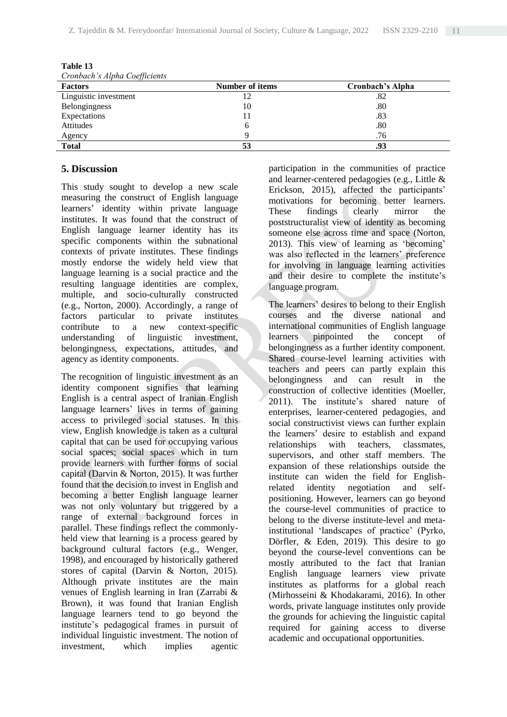| Cronbach's Alpha Coefficients |                        |                  |  |  |
|-------------------------------|------------------------|------------------|--|--|
| <b>Factors</b>                | <b>Number of items</b> | Cronbach's Alpha |  |  |
| Linguistic investment         | 12                     | .82              |  |  |
| Belongingness                 | 10                     | .80              |  |  |
| Expectations                  |                        | .83              |  |  |
| Attitudes                     | <sub>0</sub>           | .80              |  |  |
| Agency                        |                        | .76              |  |  |
| <b>Total</b>                  | 53                     | .93              |  |  |

**Table 13**

# **5. Discussion**

This study sought to develop a new scale measuring the construct of English language learners' identity within private language institutes. It was found that the construct of English language learner identity has its specific components within the subnational contexts of private institutes. These findings mostly endorse the widely held view that language learning is a social practice and the resulting language identities are complex, multiple, and socio-culturally constructed (e.g., Norton, 2000). Accordingly, a range of factors particular to private institutes contribute to a new context-specific understanding of linguistic investment, belongingness, expectations, attitudes, and agency as identity components.

The recognition of linguistic investment as an identity component signifies that learning English is a central aspect of Iranian English language learners' lives in terms of gaining access to privileged social statuses. In this view, English knowledge is taken as a cultural capital that can be used for occupying various social spaces; social spaces which in turn provide learners with further forms of social capital (Darvin & Norton, 2015). It was further found that the decision to invest in English and becoming a better English language learner was not only voluntary but triggered by a range of external background forces in parallel. These findings reflect the commonlyheld view that learning is a process geared by background cultural factors (e.g., Wenger, 1998), and encouraged by historically gathered stores of capital (Darvin & Norton, 2015). Although private institutes are the main venues of English learning in Iran (Zarrabi & Brown), it was found that Iranian English language learners tend to go beyond the institute's pedagogical frames in pursuit of individual linguistic investment. The notion of investment, which implies agentic

participation in the communities of practice and learner-centered pedagogies (e.g., Little & Erickson, 2015), affected the participants' motivations for becoming better learners. These findings clearly mirror the poststructuralist view of identity as becoming someone else across time and space (Norton, 2013). This view of learning as 'becoming' was also reflected in the learners' preference for involving in language learning activities and their desire to complete the institute's language program.

The learners' desires to belong to their English courses and the diverse national and international communities of English language learners pinpointed the concept of belongingness as a further identity component. Shared course-level learning activities with teachers and peers can partly explain this belongingness and can result in the construction of collective identities (Moeller, 2011). The institute's shared nature of enterprises, learner-centered pedagogies, and social constructivist views can further explain the learners' desire to establish and expand relationships with teachers, classmates, supervisors, and other staff members. The expansion of these relationships outside the institute can widen the field for Englishrelated identity negotiation and selfpositioning. However, learners can go beyond the course-level communities of practice to belong to the diverse institute-level and metainstitutional 'landscapes of practice' (Pyrko, Dörfler, & Eden, 2019). This desire to go beyond the course-level conventions can be mostly attributed to the fact that Iranian English language learners view private institutes as platforms for a global reach (Mirhosseini & Khodakarami, 2016). In other words, private language institutes only provide the grounds for achieving the linguistic capital required for gaining access to diverse academic and occupational opportunities.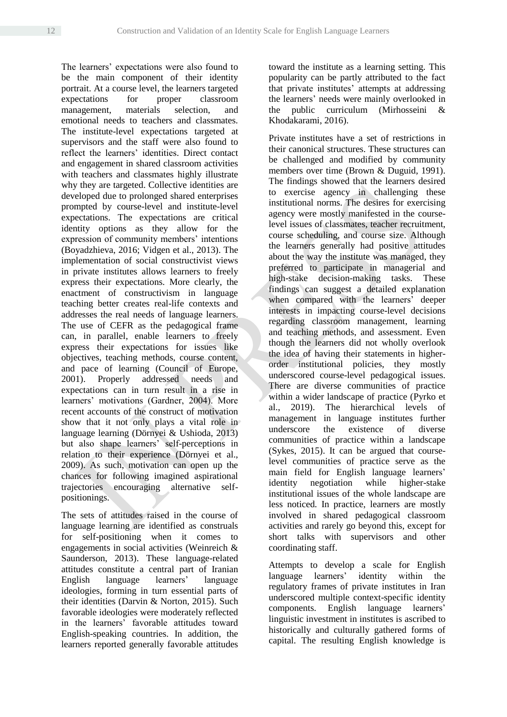The learners' expectations were also found to be the main component of their identity portrait. At a course level, the learners targeted expectations for proper classroom management, materials selection, and emotional needs to teachers and classmates. The institute-level expectations targeted at supervisors and the staff were also found to reflect the learners' identities. Direct contact and engagement in shared classroom activities with teachers and classmates highly illustrate why they are targeted. Collective identities are developed due to prolonged shared enterprises prompted by course-level and institute-level expectations. The expectations are critical identity options as they allow for the expression of community members' intentions (Boyadzhieva, 2016; Vidgen et al., 2013). The implementation of social constructivist views in private institutes allows learners to freely express their expectations. More clearly, the enactment of constructivism in language teaching better creates real-life contexts and addresses the real needs of language learners. The use of CEFR as the pedagogical frame can, in parallel, enable learners to freely express their expectations for issues like objectives, teaching methods, course content, and pace of learning (Council of Europe, 2001). Properly addressed needs and expectations can in turn result in a rise in learners' motivations (Gardner, 2004). More recent accounts of the construct of motivation show that it not only plays a vital role in language learning (Dörnyei & Ushioda, 2013) but also shape learners' self-perceptions in relation to their experience (Dörnyei et al., 2009). As such, motivation can open up the chances for following imagined aspirational trajectories encouraging alternative selfpositionings.

The sets of attitudes raised in the course of language learning are identified as construals for self-positioning when it comes to engagements in social activities (Weinreich & Saunderson, 2013). These language-related attitudes constitute a central part of Iranian English language learners' language ideologies, forming in turn essential parts of their identities (Darvin & Norton, 2015). Such favorable ideologies were moderately reflected in the learners' favorable attitudes toward English-speaking countries. In addition, the learners reported generally favorable attitudes toward the institute as a learning setting. This popularity can be partly attributed to the fact that private institutes' attempts at addressing the learners' needs were mainly overlooked in the public curriculum (Mirhosseini & Khodakarami, 2016).

Private institutes have a set of restrictions in their canonical structures. These structures can be challenged and modified by community members over time (Brown & Duguid, 1991). The findings showed that the learners desired to exercise agency in challenging these institutional norms. The desires for exercising agency were mostly manifested in the courselevel issues of classmates, teacher recruitment, course scheduling, and course size. Although the learners generally had positive attitudes about the way the institute was managed, they preferred to participate in managerial and high-stake decision-making tasks. These findings can suggest a detailed explanation when compared with the learners' deeper interests in impacting course-level decisions regarding classroom management, learning and teaching methods, and assessment. Even though the learners did not wholly overlook the idea of having their statements in higherorder institutional policies, they mostly underscored course-level pedagogical issues. There are diverse communities of practice within a wider landscape of practice (Pyrko et al., 2019). The hierarchical levels of management in language institutes further underscore the existence of diverse communities of practice within a landscape (Sykes, 2015). It can be argued that courselevel communities of practice serve as the main field for English language learners' identity negotiation while higher-stake institutional issues of the whole landscape are less noticed. In practice, learners are mostly involved in shared pedagogical classroom activities and rarely go beyond this, except for short talks with supervisors and other coordinating staff.

Attempts to develop a scale for English language learners' identity within the regulatory frames of private institutes in Iran underscored multiple context-specific identity components. English language learners' linguistic investment in institutes is ascribed to historically and culturally gathered forms of capital. The resulting English knowledge is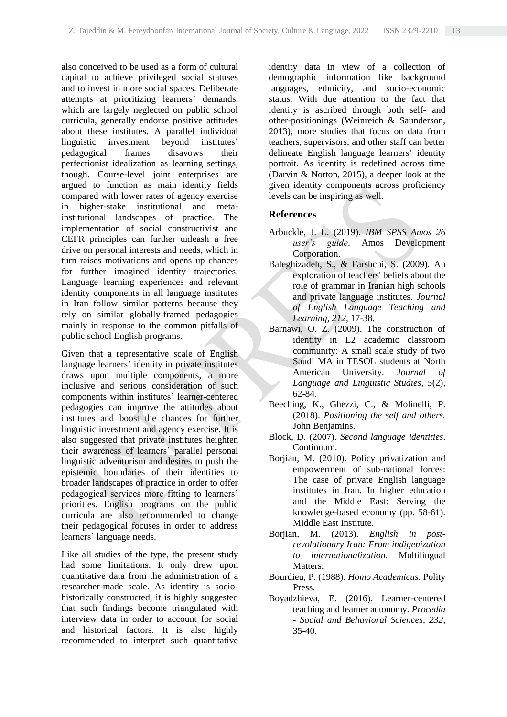also conceived to be used as a form of cultural capital to achieve privileged social statuses and to invest in more social spaces. Deliberate attempts at prioritizing learners' demands, which are largely neglected on public school curricula, generally endorse positive attitudes about these institutes. A parallel individual linguistic investment beyond institutes' pedagogical frames disavows their perfectionist idealization as learning settings, though. Course-level joint enterprises are argued to function as main identity fields compared with lower rates of agency exercise in higher-stake institutional and metainstitutional landscapes of practice. The implementation of social constructivist and CEFR principles can further unleash a free drive on personal interests and needs, which in turn raises motivations and opens up chances for further imagined identity trajectories. Language learning experiences and relevant identity components in all language institutes in Iran follow similar patterns because they rely on similar globally-framed pedagogies mainly in response to the common pitfalls of public school English programs.

Given that a representative scale of English language learners' identity in private institutes draws upon multiple components, a more inclusive and serious consideration of such components within institutes' learner-centered pedagogies can improve the attitudes about institutes and boost the chances for further linguistic investment and agency exercise. It is also suggested that private institutes heighten their awareness of learners' parallel personal linguistic adventurism and desires to push the epistemic boundaries of their identities to broader landscapes of practice in order to offer pedagogical services more fitting to learners' priorities. English programs on the public curricula are also recommended to change their pedagogical focuses in order to address learners' language needs.

Like all studies of the type, the present study had some limitations. It only drew upon quantitative data from the administration of a researcher-made scale. As identity is sociohistorically constructed, it is highly suggested that such findings become triangulated with interview data in order to account for social and historical factors. It is also highly recommended to interpret such quantitative identity data in view of a collection of demographic information like background languages, ethnicity, and socio-economic status. With due attention to the fact that identity is ascribed through both self- and other-positionings (Weinreich & Saunderson, 2013), more studies that focus on data from teachers, supervisors, and other staff can better delineate English language learners' identity portrait. As identity is redefined across time (Darvin & Norton, 2015), a deeper look at the given identity components across proficiency levels can be inspiring as well.

## **References**

- Arbuckle, J. L. (2019). *IBM SPSS Amos 26 user's guide*. Amos Development Corporation.
- Baleghizadeh, S., & Farshchi, S. (2009). An exploration of teachers' beliefs about the role of grammar in Iranian high schools and private language institutes. *Journal of English Language Teaching and Learning, 212*, 17-38.
- Barnawi, O. Z. (2009). The construction of identity in L2 academic classroom community: A small scale study of two Saudi MA in TESOL students at North American University. *Journal of Language and Linguistic Studies, 5*(2), 62-84.
- Beeching, K., Ghezzi, C., & Molinelli, P. (2018). *Positioning the self and others.* John Benjamins.
- Block, D. (2007). *Second language identities*. Continuum.
- Borjian, M. (2010). Policy privatization and empowerment of sub-national forces: The case of private English language institutes in Iran. In higher education and the Middle East: Serving the knowledge-based economy (pp. 58-61). Middle East Institute.
- Borjian, M. (2013). *English in postrevolutionary Iran: From indigenization to internationalization*. Multilingual Matters.
- Bourdieu, P. (1988). *Homo Academicus.* Polity Press.
- Boyadzhieva, E. (2016). Learner-centered teaching and learner autonomy. *Procedia - Social and Behavioral Sciences, 232*, 35-40.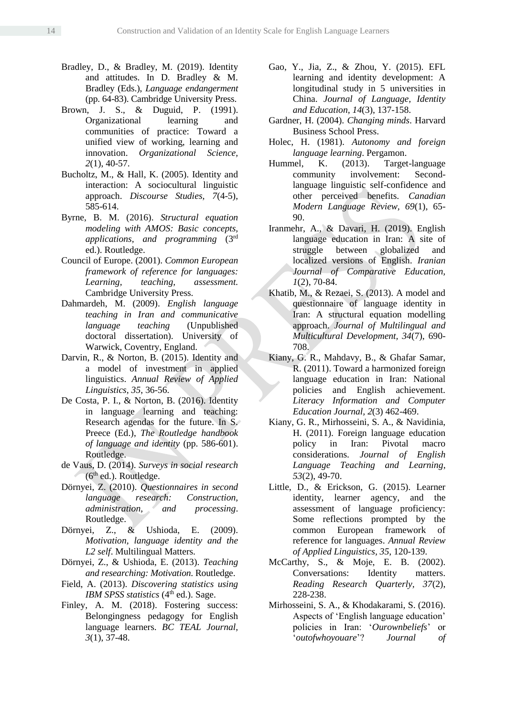- Bradley, D., & Bradley, M. (2019). Identity and attitudes. In D. Bradley & M. Bradley (Eds.), *Language endangerment* (pp. 64-83). Cambridge University Press.
- Brown, J. S., & Duguid, P. (1991). Organizational learning and communities of practice: Toward a unified view of working, learning and innovation. *Organizational Science, 2*(1), 40-57.
- Bucholtz, M., & Hall, K. (2005). Identity and interaction: A sociocultural linguistic approach. *Discourse Studies, 7*(4-5), 585-614.
- Byrne, B. M. (2016). *Structural equation modeling with AMOS: Basic concepts, applications, and programming* (3rd ed.). Routledge.
- Council of Europe. (2001). *Common European framework of reference for languages: Learning, teaching, assessment.*  Cambridge University Press.
- Dahmardeh, M. (2009). *English language teaching in Iran and communicative language teaching* (Unpublished doctoral dissertation). University of Warwick, Coventry, England.
- Darvin, R., & Norton, B. (2015). Identity and a model of investment in applied linguistics. *Annual Review of Applied Linguistics, 35*, 36-56.
- De Costa, P. I., & Norton, B. (2016). Identity in language learning and teaching: Research agendas for the future. In S. Preece (Ed.), *The Routledge handbook of language and identity* (pp. 586-601). Routledge.
- de Vaus, D. (2014). *Surveys in social research*  $(6<sup>th</sup>$  ed.). Routledge.
- Dörnyei, Z. (2010). *Questionnaires in second language research: Construction, administration, and processing*. Routledge.
- Dörnyei, Z., & Ushioda, E. (2009). *Motivation, language identity and the L2 self*. Multilingual Matters.
- Dörnyei, Z., & Ushioda, E. (2013). *Teaching and researching: Motivation*. Routledge.
- Field, A. (2013). *Discovering statistics using*  IBM SPSS statistics (4<sup>th</sup> ed.). Sage.
- Finley, A. M. (2018). Fostering success: Belongingness pedagogy for English language learners. *BC TEAL Journal, 3*(1), 37-48.
- Gao, Y., Jia, Z., & Zhou, Y. (2015). EFL learning and identity development: A longitudinal study in 5 universities in China. *Journal of Language, Identity and Education, 14*(3), 137-158.
- Gardner, H. (2004). *Changing minds*. Harvard Business School Press.
- Holec, H. (1981). *Autonomy and foreign language learning*. Pergamon.
- Hummel, K. (2013). Target-language community involvement: Secondlanguage linguistic self-confidence and other perceived benefits. *Canadian Modern Language Review, 69*(1), 65- 90.
- Iranmehr, A., & Davari, H. (2019). English language education in Iran: A site of struggle between globalized and localized versions of English. *Iranian Journal of Comparative Education, 1*(2), 70-84.
- Khatib, M., & Rezaei, S. (2013). A model and questionnaire of language identity in Iran: A structural equation modelling approach. *Journal of Multilingual and Multicultural Development, 34*(7), 690- 708.
- Kiany, G. R., Mahdavy, B., & Ghafar Samar, R. (2011). Toward a harmonized foreign language education in Iran: National policies and English achievement. *Literacy Information and Computer Education Journal, 2*(3) 462-469.
- Kiany, G. R., Mirhosseini, S. A., & Navidinia, H. (2011). Foreign language education policy in Iran: Pivotal macro considerations. *Journal of English Language Teaching and Learning*, *53*(2), 49-70.
- Little, D., & Erickson, G. (2015). Learner identity, learner agency, and the assessment of language proficiency: Some reflections prompted by the common European framework of reference for languages. *Annual Review of Applied Linguistics, 35*, 120-139.
- McCarthy, S., & Moje, E. B. (2002). Conversations: Identity matters. *Reading Research Quarterly, 37*(2), 228-238.
- Mirhosseini, S. A., & Khodakarami, S. (2016). Aspects of 'English language education' policies in Iran: '*Ourownbeliefs*' or '*outofwhoyouare*'? *Journal of*